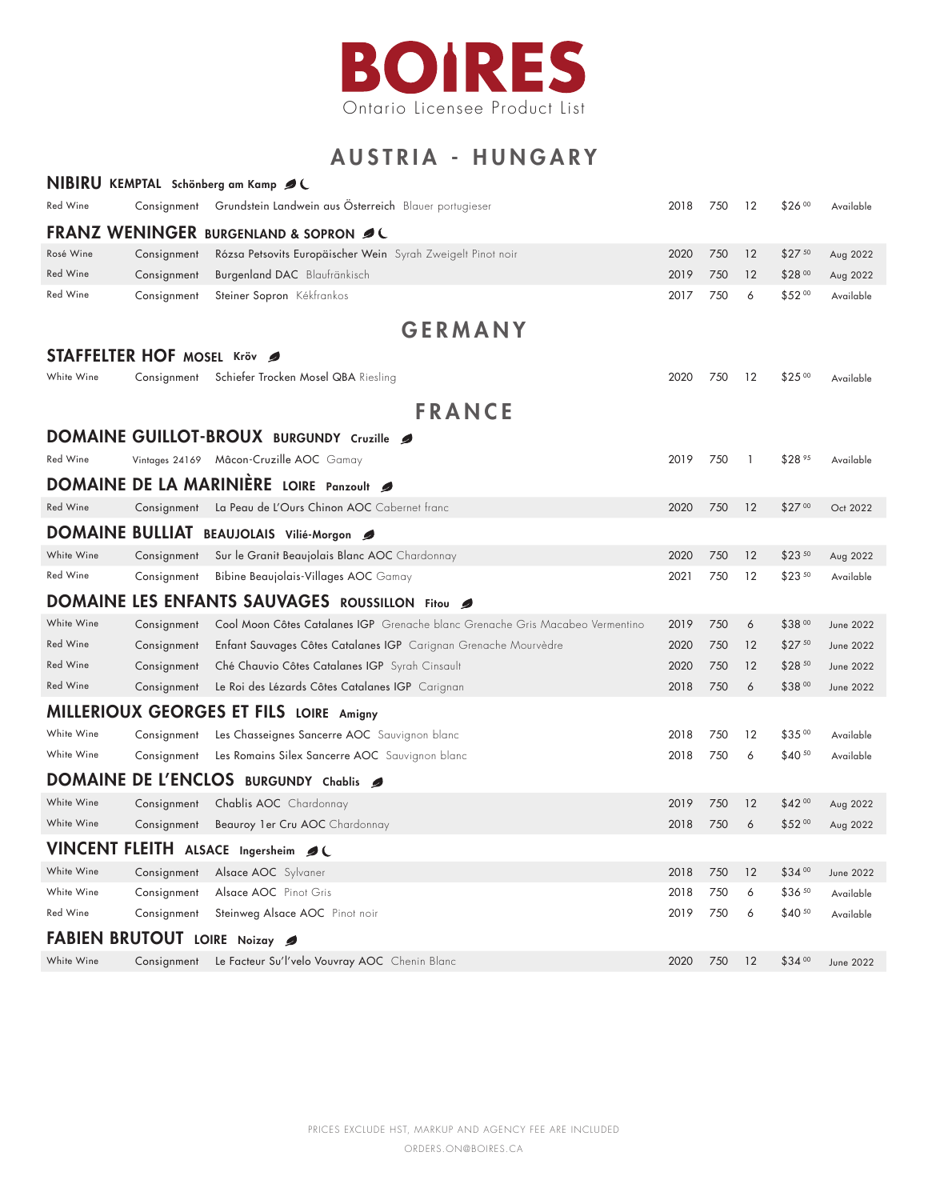

## AUSTRIA - HUNGARY

|                                                  |                | NIBIRU KEMPTAL Schönberg am Kamp Ø (                                          |      |     |    |              |                  |  |  |  |  |  |
|--------------------------------------------------|----------------|-------------------------------------------------------------------------------|------|-----|----|--------------|------------------|--|--|--|--|--|
| Red Wine                                         | Consignment    | Grundstein Landwein aus Österreich Blauer portugieser                         | 2018 | 750 | 12 | \$26 00      | Available        |  |  |  |  |  |
| <b>FRANZ WENINGER BURGENLAND &amp; SOPRON ØL</b> |                |                                                                               |      |     |    |              |                  |  |  |  |  |  |
| Rosé Wine                                        | Consignment    | Rózsa Petsovits Europäischer Wein Syrah Zweigelt Pinot noir                   | 2020 | 750 | 12 | $$27^{50}$   | Aug 2022         |  |  |  |  |  |
| Red Wine                                         | Consignment    | Burgenland DAC Blaufränkisch                                                  | 2019 | 750 | 12 | \$28 00      | Aug 2022         |  |  |  |  |  |
| Red Wine                                         | Consignment    | Steiner Sopron Kékfrankos                                                     | 2017 | 750 | 6  | \$5200       | Available        |  |  |  |  |  |
| <b>GERMANY</b>                                   |                |                                                                               |      |     |    |              |                  |  |  |  |  |  |
| <b>STAFFELTER HOF MOSEL Kröv</b>                 |                |                                                                               |      |     |    |              |                  |  |  |  |  |  |
| White Wine                                       | Consignment    | Schiefer Trocken Mosel QBA Riesling                                           | 2020 | 750 | 12 | $$25^{00}$   | Available        |  |  |  |  |  |
|                                                  |                | <b>FRANCE</b>                                                                 |      |     |    |              |                  |  |  |  |  |  |
|                                                  |                | DOMAINE GUILLOT-BROUX BURGUNDY Cruzille                                       |      |     |    |              |                  |  |  |  |  |  |
| Red Wine                                         | Vintages 24169 | Mâcon-Cruzille AOC Gamay                                                      | 2019 | 750 | 1  | \$28 95      | Available        |  |  |  |  |  |
|                                                  |                | DOMAINE DE LA MARINIÈRE LOIRE Panzoult                                        |      |     |    |              |                  |  |  |  |  |  |
| <b>Red Wine</b>                                  | Consignment    | La Peau de L'Ours Chinon AOC Cabernet franc                                   | 2020 | 750 | 12 | $$27^{00}$   | Oct 2022         |  |  |  |  |  |
| <b>DOMAINE BULLIAT</b>                           |                | BEAUJOLAIS Vilié-Morgon                                                       |      |     |    |              |                  |  |  |  |  |  |
| White Wine                                       | Consignment    | Sur le Granit Beaujolais Blanc AOC Chardonnay                                 | 2020 | 750 | 12 | $$23^{50}$   | Aug 2022         |  |  |  |  |  |
| Red Wine                                         | Consignment    | Bibine Beaujolais-Villages AOC Gamay                                          | 2021 | 750 | 12 | \$23 50      | Available        |  |  |  |  |  |
|                                                  |                | DOMAINE LES ENFANTS SAUVAGES ROUSSILLON Fitou                                 |      |     |    |              |                  |  |  |  |  |  |
| White Wine                                       | Consignment    | Cool Moon Côtes Catalanes IGP Grenache blanc Grenache Gris Macabeo Vermentino | 2019 | 750 | 6  | \$3800       | <b>June 2022</b> |  |  |  |  |  |
| Red Wine                                         | Consignment    | Enfant Sauvages Côtes Catalanes IGP Carignan Grenache Mourvèdre               | 2020 | 750 | 12 | \$2750       | <b>June 2022</b> |  |  |  |  |  |
| Red Wine                                         | Consignment    | Ché Chauvio Côtes Catalanes IGP Syrah Cinsault                                | 2020 | 750 | 12 | \$28 50      | <b>June 2022</b> |  |  |  |  |  |
| Red Wine                                         | Consignment    | Le Roi des Lézards Côtes Catalanes IGP Carignan                               | 2018 | 750 | 6  | \$3800       | <b>June 2022</b> |  |  |  |  |  |
|                                                  |                | MILLERIOUX GEORGES ET FILS LOIRE Amigny                                       |      |     |    |              |                  |  |  |  |  |  |
| White Wine                                       | Consignment    | Les Chasseignes Sancerre AOC Sauvignon blanc                                  | 2018 | 750 | 12 | \$3500       | Available        |  |  |  |  |  |
| White Wine                                       | Consignment    | Les Romains Silex Sancerre AOC Sauvignon blanc                                | 2018 | 750 | 6  | \$40 50      | Available        |  |  |  |  |  |
| <b>DOMAINE</b>                                   |                | DE L'ENCLOS BURGUNDY Chablis                                                  |      |     |    |              |                  |  |  |  |  |  |
| White Wine                                       | Consignment    | Chablis AOC Chardonnay                                                        | 2019 | 750 | 12 | $$42\degree$ | Aug 2022         |  |  |  |  |  |
| White Wine                                       | Consignment    | Beauroy 1er Cru AOC Chardonnay                                                | 2018 | 750 | 6  | \$52 00      | Aug 2022         |  |  |  |  |  |
|                                                  |                | VINCENT FLEITH ALSACE Ingersheim 2                                            |      |     |    |              |                  |  |  |  |  |  |
| White Wine                                       | Consignment    | Alsace AOC Sylvaner                                                           | 2018 | 750 | 12 | \$34 00      | <b>June 2022</b> |  |  |  |  |  |
| White Wine                                       | Consignment    | Alsace AOC Pinot Gris                                                         | 2018 | 750 | 6  | \$36 50      | Available        |  |  |  |  |  |
| Red Wine                                         | Consignment    | Steinweg Alsace AOC Pinot noir                                                | 2019 | 750 | 6  | $$40^{50}$   | Available        |  |  |  |  |  |
| <b>BRUTOUT</b><br>FAB<br>LOIRE Noizay            |                |                                                                               |      |     |    |              |                  |  |  |  |  |  |
| White Wine                                       | Consignment    | Le Facteur Su'l'velo Vouvray AOC Chenin Blanc                                 | 2020 | 750 | 12 | \$3400       | <b>June 2022</b> |  |  |  |  |  |